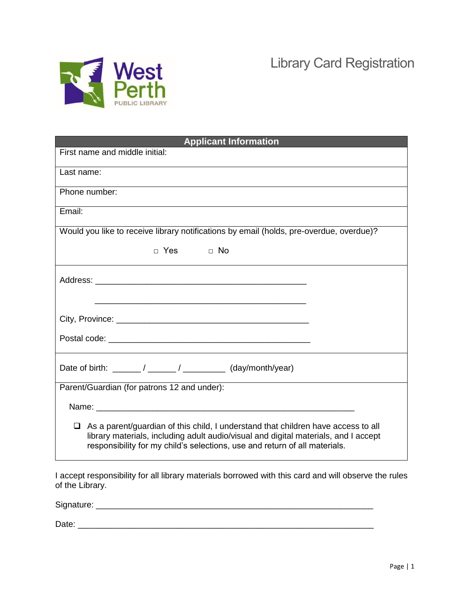

Library Card Registration

| <b>Applicant Information</b>                                                                                                                                                                                                                           |
|--------------------------------------------------------------------------------------------------------------------------------------------------------------------------------------------------------------------------------------------------------|
| First name and middle initial:                                                                                                                                                                                                                         |
| Last name:                                                                                                                                                                                                                                             |
| Phone number:                                                                                                                                                                                                                                          |
| Email:                                                                                                                                                                                                                                                 |
| Would you like to receive library notifications by email (holds, pre-overdue, overdue)?                                                                                                                                                                |
| D Yes D No                                                                                                                                                                                                                                             |
|                                                                                                                                                                                                                                                        |
| City, Province: City, Province:                                                                                                                                                                                                                        |
|                                                                                                                                                                                                                                                        |
| Date of birth: ______/ ______/ __________ (day/month/year)                                                                                                                                                                                             |
| Parent/Guardian (for patrons 12 and under):                                                                                                                                                                                                            |
|                                                                                                                                                                                                                                                        |
| As a parent/guardian of this child, I understand that children have access to all<br>library materials, including adult audio/visual and digital materials, and I accept<br>responsibility for my child's selections, use and return of all materials. |

I accept responsibility for all library materials borrowed with this card and will observe the rules of the Library.

Signature: \_\_\_\_\_\_\_\_\_\_\_\_\_\_\_\_\_\_\_\_\_\_\_\_\_\_\_\_\_\_\_\_\_\_\_\_\_\_\_\_\_\_\_\_\_\_\_\_\_\_\_\_\_\_\_\_\_\_\_ Date: \_\_\_\_\_\_\_\_\_\_\_\_\_\_\_\_\_\_\_\_\_\_\_\_\_\_\_\_\_\_\_\_\_\_\_\_\_\_\_\_\_\_\_\_\_\_\_\_\_\_\_\_\_\_\_\_\_\_\_\_\_\_\_